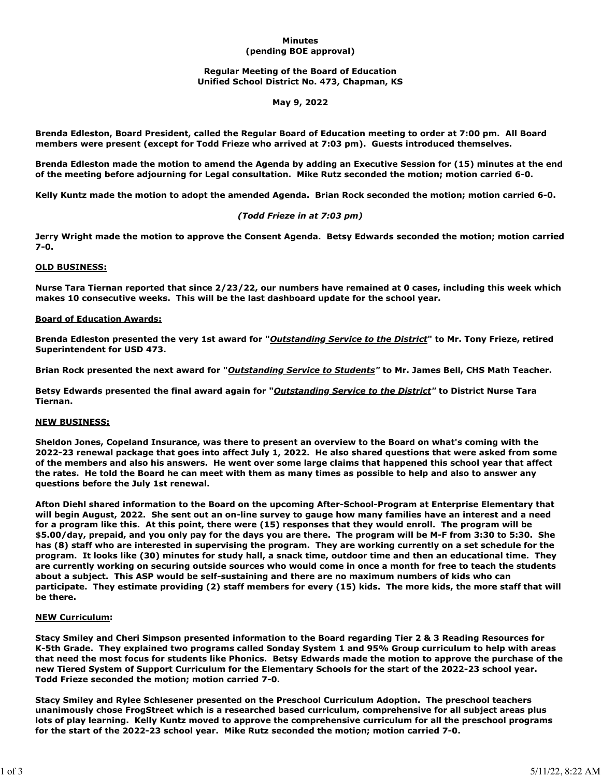### **Minutes (pending BOE approval)**

# **Regular Meeting of the Board of Education Unified School District No. 473, Chapman, KS**

# **May 9, 2022**

**Brenda Edleston, Board President, called the Regular Board of Education meeting to order at 7:00 pm. All Board members were present (except for Todd Frieze who arrived at 7:03 pm). Guests introduced themselves.**

**Brenda Edleston made the motion to amend the Agenda by adding an Executive Session for (15) minutes at the end of the meeting before adjourning for Legal consultation. Mike Rutz seconded the motion; motion carried 6-0.**

**Kelly Kuntz made the motion to adopt the amended Agenda. Brian Rock seconded the motion; motion carried 6-0.**

# *(Todd Frieze in at 7:03 pm)*

**Jerry Wright made the motion to approve the Consent Agenda. Betsy Edwards seconded the motion; motion carried 7-0.**

### **OLD BUSINESS:**

**Nurse Tara Tiernan reported that since 2/23/22, our numbers have remained at 0 cases, including this week which makes 10 consecutive weeks. This will be the last dashboard update for the school year.**

# **Board of Education Awards:**

**Brenda Edleston presented the very 1st award for "***Outstanding Service to the District***" to Mr. Tony Frieze, retired Superintendent for USD 473.** 

**Brian Rock presented the next award for "***Outstanding Service to Students"* **to Mr. James Bell, CHS Math Teacher.**

**Betsy Edwards presented the final award again for "***Outstanding Service to the District"* **to District Nurse Tara Tiernan.**

#### **NEW BUSINESS:**

**Sheldon Jones, Copeland Insurance, was there to present an overview to the Board on what's coming with the 2022-23 renewal package that goes into affect July 1, 2022. He also shared questions that were asked from some of the members and also his answers. He went over some large claims that happened this school year that affect the rates. He told the Board he can meet with them as many times as possible to help and also to answer any questions before the July 1st renewal.**

**Afton Diehl shared information to the Board on the upcoming After-School-Program at Enterprise Elementary that will begin August, 2022. She sent out an on-line survey to gauge how many families have an interest and a need for a program like this. At this point, there were (15) responses that they would enroll. The program will be \$5.00/day, prepaid, and you only pay for the days you are there. The program will be M-F from 3:30 to 5:30. She has (8) staff who are interested in supervising the program. They are working currently on a set schedule for the program. It looks like (30) minutes for study hall, a snack time, outdoor time and then an educational time. They are currently working on securing outside sources who would come in once a month for free to teach the students about a subject. This ASP would be self-sustaining and there are no maximum numbers of kids who can participate. They estimate providing (2) staff members for every (15) kids. The more kids, the more staff that will be there.**

#### **NEW Curriculum:**

**Stacy Smiley and Cheri Simpson presented information to the Board regarding Tier 2 & 3 Reading Resources for K-5th Grade. They explained two programs called Sonday System 1 and 95% Group curriculum to help with areas that need the most focus for students like Phonics. Betsy Edwards made the motion to approve the purchase of the new Tiered System of Support Curriculum for the Elementary Schools for the start of the 2022-23 school year. Todd Frieze seconded the motion; motion carried 7-0.**

**Stacy Smiley and Rylee Schlesener presented on the Preschool Curriculum Adoption. The preschool teachers unanimously chose FrogStreet which is a researched based curriculum, comprehensive for all subject areas plus lots of play learning. Kelly Kuntz moved to approve the comprehensive curriculum for all the preschool programs for the start of the 2022-23 school year. Mike Rutz seconded the motion; motion carried 7-0.**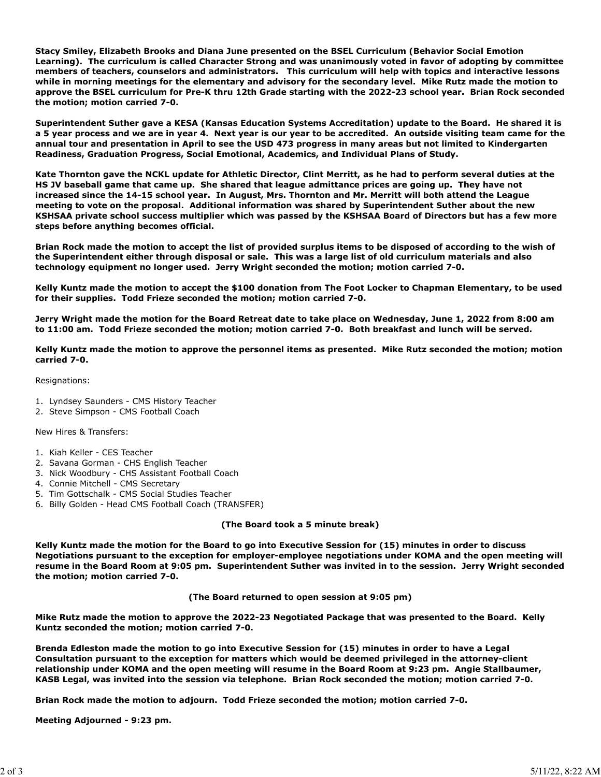**Stacy Smiley, Elizabeth Brooks and Diana June presented on the BSEL Curriculum (Behavior Social Emotion Learning). The curriculum is called Character Strong and was unanimously voted in favor of adopting by committee members of teachers, counselors and administrators. This curriculum will help with topics and interactive lessons while in morning meetings for the elementary and advisory for the secondary level. Mike Rutz made the motion to approve the BSEL curriculum for Pre-K thru 12th Grade starting with the 2022-23 school year. Brian Rock seconded the motion; motion carried 7-0.**

**Superintendent Suther gave a KESA (Kansas Education Systems Accreditation) update to the Board. He shared it is a 5 year process and we are in year 4. Next year is our year to be accredited. An outside visiting team came for the annual tour and presentation in April to see the USD 473 progress in many areas but not limited to Kindergarten Readiness, Graduation Progress, Social Emotional, Academics, and Individual Plans of Study.** 

**Kate Thornton gave the NCKL update for Athletic Director, Clint Merritt, as he had to perform several duties at the HS JV baseball game that came up. She shared that league admittance prices are going up. They have not increased since the 14-15 school year. In August, Mrs. Thornton and Mr. Merritt will both attend the League meeting to vote on the proposal. Additional information was shared by Superintendent Suther about the new KSHSAA private school success multiplier which was passed by the KSHSAA Board of Directors but has a few more steps before anything becomes official.** 

**Brian Rock made the motion to accept the list of provided surplus items to be disposed of according to the wish of the Superintendent either through disposal or sale. This was a large list of old curriculum materials and also technology equipment no longer used. Jerry Wright seconded the motion; motion carried 7-0.**

**Kelly Kuntz made the motion to accept the \$100 donation from The Foot Locker to Chapman Elementary, to be used for their supplies. Todd Frieze seconded the motion; motion carried 7-0.**

**Jerry Wright made the motion for the Board Retreat date to take place on Wednesday, June 1, 2022 from 8:00 am to 11:00 am. Todd Frieze seconded the motion; motion carried 7-0. Both breakfast and lunch will be served.**

**Kelly Kuntz made the motion to approve the personnel items as presented. Mike Rutz seconded the motion; motion carried 7-0.**

Resignations:

- 1. Lyndsey Saunders CMS History Teacher
- 2. Steve Simpson CMS Football Coach

New Hires & Transfers:

- 1. Kiah Keller CES Teacher
- 2. Savana Gorman CHS English Teacher
- 3. Nick Woodbury CHS Assistant Football Coach
- 4. Connie Mitchell CMS Secretary
- 5. Tim Gottschalk CMS Social Studies Teacher
- 6. Billy Golden Head CMS Football Coach (TRANSFER)

**(The Board took a 5 minute break)**

**Kelly Kuntz made the motion for the Board to go into Executive Session for (15) minutes in order to discuss Negotiations pursuant to the exception for employer-employee negotiations under KOMA and the open meeting will resume in the Board Room at 9:05 pm. Superintendent Suther was invited in to the session. Jerry Wright seconded the motion; motion carried 7-0.** 

**(The Board returned to open session at 9:05 pm)**

**Mike Rutz made the motion to approve the 2022-23 Negotiated Package that was presented to the Board. Kelly Kuntz seconded the motion; motion carried 7-0.** 

**Brenda Edleston made the motion to go into Executive Session for (15) minutes in order to have a Legal Consultation pursuant to the exception for matters which would be deemed privileged in the attorney-client relationship under KOMA and the open meeting will resume in the Board Room at 9:23 pm. Angie Stallbaumer, KASB Legal, was invited into the session via telephone. Brian Rock seconded the motion; motion carried 7-0.** 

**Brian Rock made the motion to adjourn. Todd Frieze seconded the motion; motion carried 7-0.**

**Meeting Adjourned - 9:23 pm.**